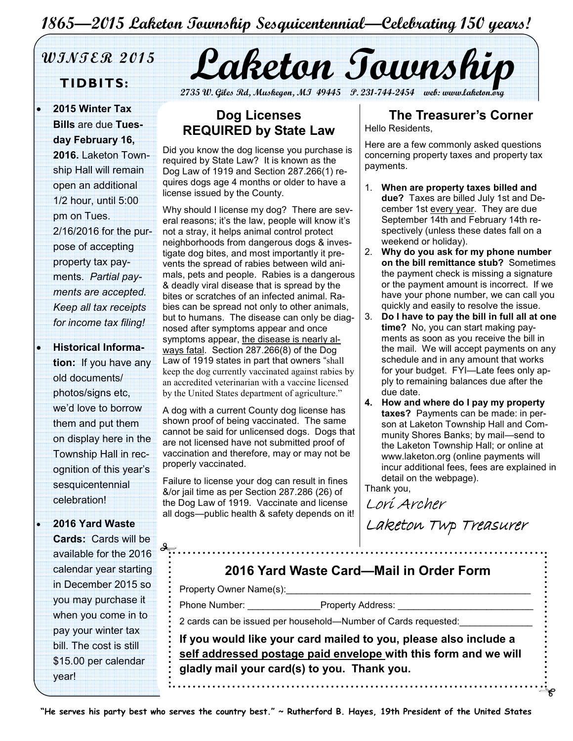# 1865—2015 Laketon Township Sesquicentennial—Celebrating 150 years!

• 2015 Winter Tax Bills are due Tuesday February 16, 2016. Laketon Township Hall will remain open an additional 1/2 hour, until 5:00 pm on Tues. 2/16/2016 for the purpose of accepting property tax payments. Partial payments are accepted. Keep all tax receipts for income tax filing!

• Historical Information: If you have any old documents/ photos/signs etc, we'd love to borrow them and put them on display here in the Township Hall in recognition of this year's sesquicentennial celebration!

• 2016 Yard Waste

Cards: Cards will be available for the 2016 calendar year starting in December 2015 so you may purchase it when you come in to pay your winter tax bill. The cost is still \$15.00 per calendar year!

WINTER 2015 Laketon Township

2735 W. Giles Rd, Muskegon, MI 49445 P. 231-744-2454 web: www.lak

### Dog Licenses REQUIRED by State Law

Did you know the dog license you purchase is required by State Law? It is known as the Dog Law of 1919 and Section 287.266(1) requires dogs age 4 months or older to have a license issued by the County.

Why should I license my dog? There are several reasons; it's the law, people will know it's not a stray, it helps animal control protect neighborhoods from dangerous dogs & investigate dog bites, and most importantly it prevents the spread of rabies between wild animals, pets and people. Rabies is a dangerous & deadly viral disease that is spread by the bites or scratches of an infected animal. Rabies can be spread not only to other animals, but to humans. The disease can only be diagnosed after symptoms appear and once symptoms appear, the disease is nearly always fatal. Section 287.266(8) of the Dog Law of 1919 states in part that owners "shall keep the dog currently vaccinated against rabies by an accredited veterinarian with a vaccine licensed by the United States department of agriculture."

A dog with a current County dog license has shown proof of being vaccinated. The same cannot be said for unlicensed dogs. Dogs that are not licensed have not submitted proof of vaccination and therefore, may or may not be properly vaccinated.

Failure to license your dog can result in fines &/or jail time as per Section 287.286 (26) of the Dog Law of 1919. Vaccinate and license all dogs—public health & safety depends on it!

# The Treasurer's Corner

Hello Residents,

Here are a few commonly asked questions concerning property taxes and property tax payments.

- 1. When are property taxes billed and due? Taxes are billed July 1st and December 1st every year. They are due September 14th and February 14th respectively (unless these dates fall on a weekend or holiday).
- 2. Why do you ask for my phone number on the bill remittance stub? Sometimes the payment check is missing a signature or the payment amount is incorrect. If we have your phone number, we can call you quickly and easily to resolve the issue.
- 3. Do I have to pay the bill in full all at one time? No, you can start making payments as soon as you receive the bill in the mail. We will accept payments on any schedule and in any amount that works for your budget. FYI—Late fees only apply to remaining balances due after the due date.
- 4. How and where do I pay my property taxes? Payments can be made: in person at Laketon Township Hall and Community Shores Banks; by mail—send to the Laketon Township Hall; or online at www.laketon.org (online payments will incur additional fees, fees are explained in detail on the webpage).

Thank you,

Lorí Archer

Laketon Twp Treasurer

# 2016 Yard Waste Card—Mail in Order Form

Property Owner Name(s):

Phone Number: <br>
Property Address:

2 cards can be issued per household—Number of Cards requested:

If you would like your card mailed to you, please also include a self addressed postage paid envelope with this form and we will gladly mail your card(s) to you. Thank you.

"He serves his party best who serves the country best." ~ Rutherford B. Hayes, 19th President of the United States